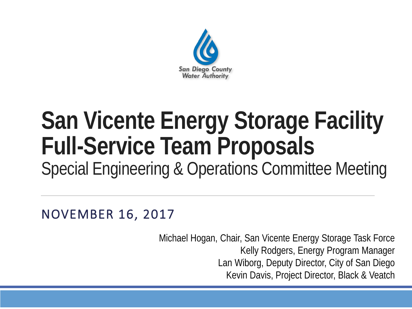

#### **San Vicente Energy Storage Facility Full-Service Team Proposals** Special Engineering & Operations Committee Meeting

NOVEMBER 16, 2017

Michael Hogan, Chair, San Vicente Energy Storage Task Force Kelly Rodgers, Energy Program Manager Lan Wiborg, Deputy Director, City of San Diego Kevin Davis, Project Director, Black & Veatch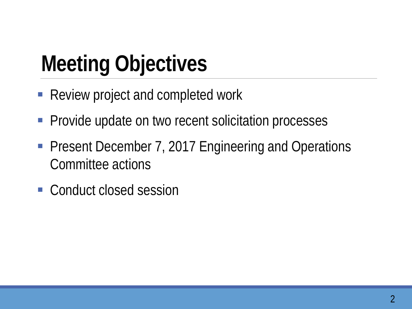# **Meeting Objectives**

- Review project and completed work
- **Provide update on two recent solicitation processes**
- **Present December 7, 2017 Engineering and Operations** Committee actions
- Conduct closed session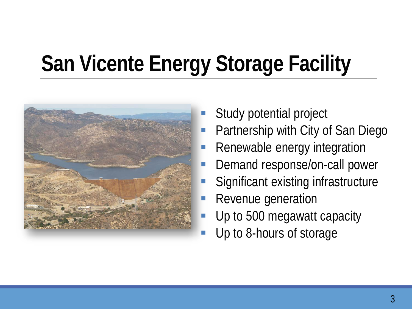# **San Vicente Energy Storage Facility**



- Study potential project
- Partnership with City of San Diego
- Renewable energy integration
- Demand response/on-call power
- Significant existing infrastructure
- Revenue generation
- Up to 500 megawatt capacity
- Up to 8-hours of storage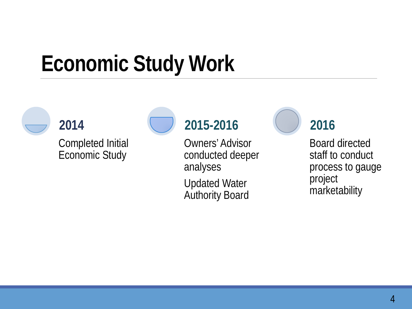### **Economic Study Work**



Completed Initial Economic Study

**2014**



#### **2015-2016**

Owners' Advisor conducted deeper analyses

Updated Water Authority Board **2016**

Board directed staff to conduct process to gauge project marketability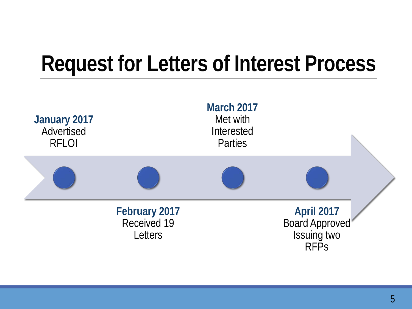#### **Request for Letters of Interest Process**

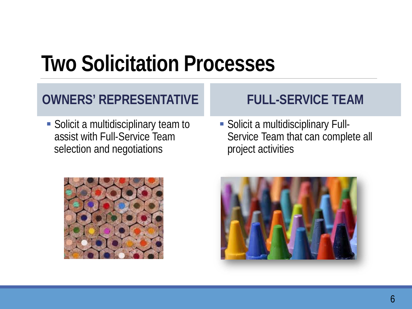#### **Two Solicitation Processes**

#### **OWNERS' REPRESENTATIVE**

**Solicit a multidisciplinary team to** assist with Full-Service Team selection and negotiations



 Solicit a multidisciplinary Full-Service Team that can complete all project activities



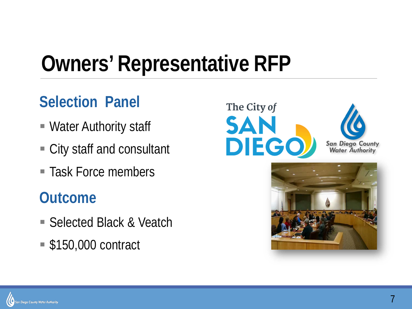### **Owners' Representative RFP**

#### **Selection Panel**

- Water Authority staff
- City staff and consultant
- Task Force members

#### **Outcome**

- Selected Black & Veatch
- \$150,000 contract





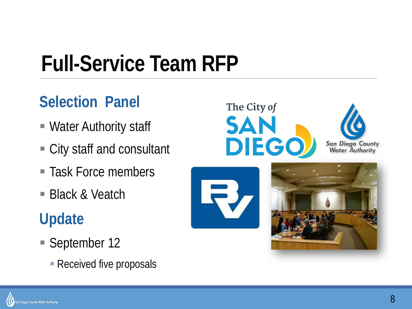# **Full-Service Team RFP**

#### **Selection Panel**

- Water Authority staff
- City staff and consultant
- Task Force members
- Black & Veatch

#### **Update**

- September 12
	- **Received five proposals**







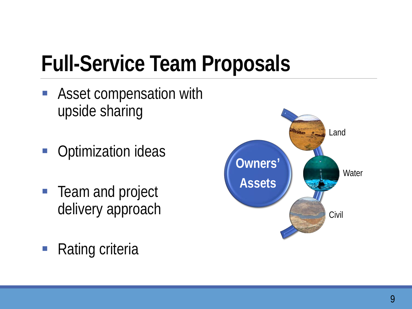# **Full-Service Team Proposals**

- **Asset compensation with** upside sharing
- **Optimization ideas**
- **Team and project** delivery approach
- Rating criteria

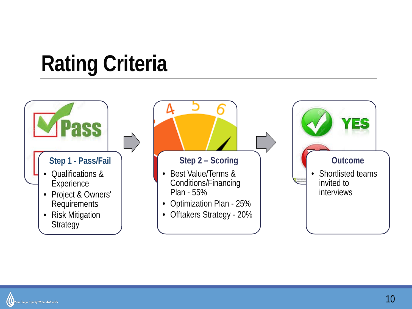## **Rating Criteria**



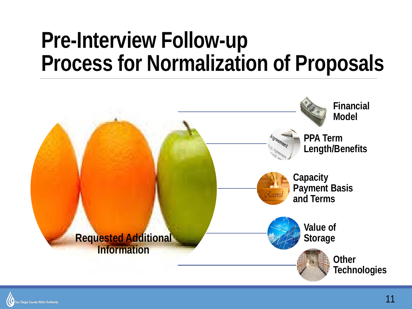#### **Pre-Interview Follow-up Process for Normalization of Proposals**



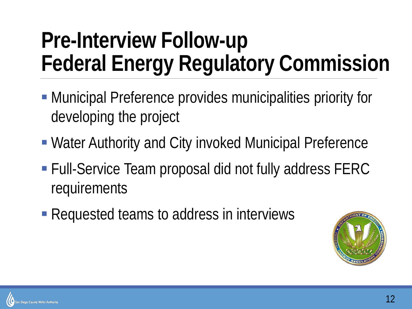### **Pre-Interview Follow-up Federal Energy Regulatory Commission**

- Municipal Preference provides municipalities priority for developing the project
- Water Authority and City invoked Municipal Preference
- Full-Service Team proposal did not fully address FERC requirements
- Requested teams to address in interviews



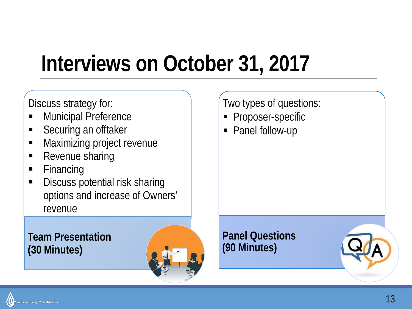### **Interviews on October 31, 2017**

Discuss strategy for:

- **Municipal Preference**
- **Securing an offtaker**
- **Maximizing project revenue**
- Revenue sharing
- **Financing**
- **Discuss potential risk sharing** options and increase of Owners' revenue

**Team Presentation (30 Minutes)** 



Two types of questions:

- Proposer-specific
- Panel follow-up

**Panel Questions (90 Minutes)**

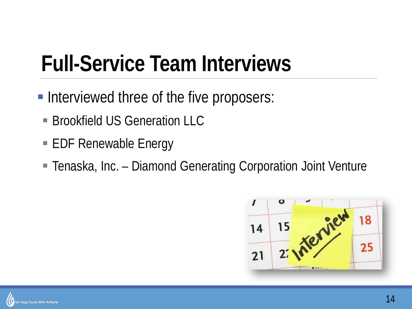### **Full-Service Team Interviews**

- **Interviewed three of the five proposers:** 
	- **Brookfield US Generation LLC**
	- EDF Renewable Energy
	- Tenaska, Inc. Diamond Generating Corporation Joint Venture



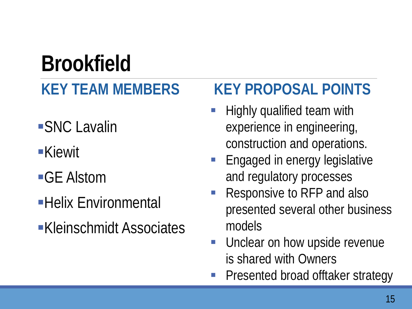## **Brookfield**

#### **KEY TEAM MEMBERS**

- SNC Lavalin
- Kiewit
- ■GE Alstom
- Helix Environmental
- Kleinschmidt Associates

#### **KEY PROPOSAL POINTS**

- Highly qualified team with experience in engineering, construction and operations.
- Engaged in energy legislative and regulatory processes
- Responsive to RFP and also presented several other business models
- **Unclear on how upside revenue** is shared with Owners
- Presented broad offtaker strategy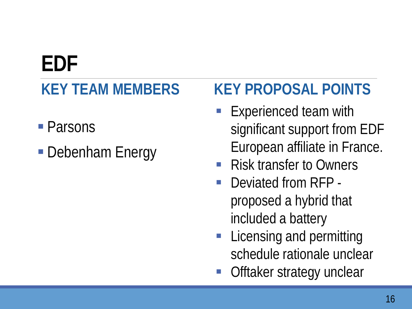#### **EDF KEY TEAM MEMBERS**

- Parsons
- Debenham Energy

#### **KEY PROPOSAL POINTS**

- **Experienced team with** significant support from EDF European affiliate in France.
- Risk transfer to Owners
- **Deviated from RFP** proposed a hybrid that included a battery
- **Licensing and permitting** schedule rationale unclear
- Offtaker strategy unclear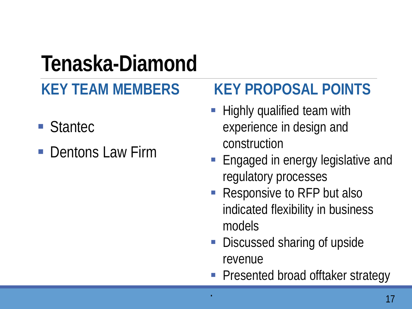#### **Tenaska-Diamond**

#### **KEY TEAM MEMBERS**

- Stantec
- Dentons Law Firm

#### **KEY PROPOSAL POINTS**

- **Highly qualified team with** experience in design and construction
- **Engaged in energy legislative and** regulatory processes
- Responsive to RFP but also indicated flexibility in business models
- Discussed sharing of upside revenue
- Presented broad offtaker strategy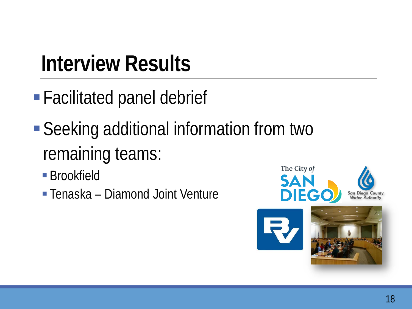#### **Interview Results**

- Facilitated panel debrief
- Seeking additional information from two remaining teams:
	- **Brookfield**
	- Tenaska Diamond Joint Venture

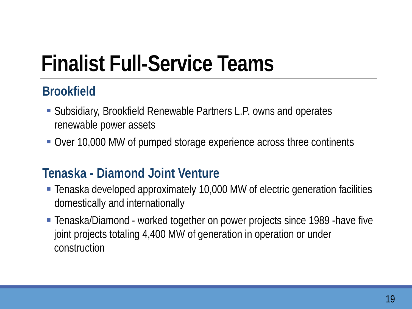# **Finalist Full-Service Teams**

#### **Brookfield**

- Subsidiary, Brookfield Renewable Partners L.P. owns and operates renewable power assets
- Over 10,000 MW of pumped storage experience across three continents

#### **Tenaska - Diamond Joint Venture**

- Tenaska developed approximately 10,000 MW of electric generation facilities domestically and internationally
- Tenaska/Diamond worked together on power projects since 1989 -have five joint projects totaling 4,400 MW of generation in operation or under construction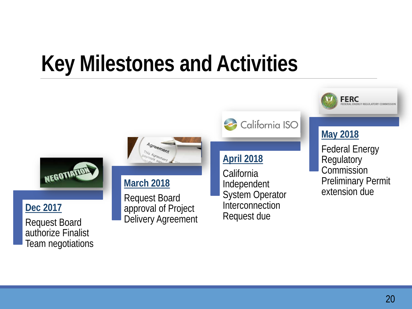### **Key Milestones and Activities**

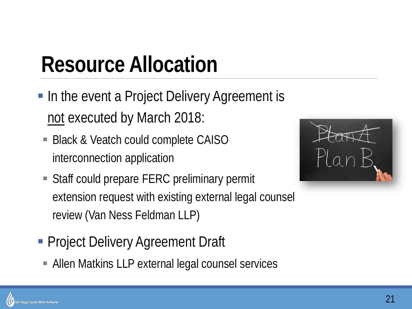### **Resource Allocation**

- **In the event a Project Delivery Agreement is** not executed by March 2018:
	- Black & Veatch could complete CAISO interconnection application
	- Staff could prepare FERC preliminary permit extension request with existing external legal counsel review (Van Ness Feldman LLP)
- **Project Delivery Agreement Draft** 
	- Allen Matkins LLP external legal counsel services